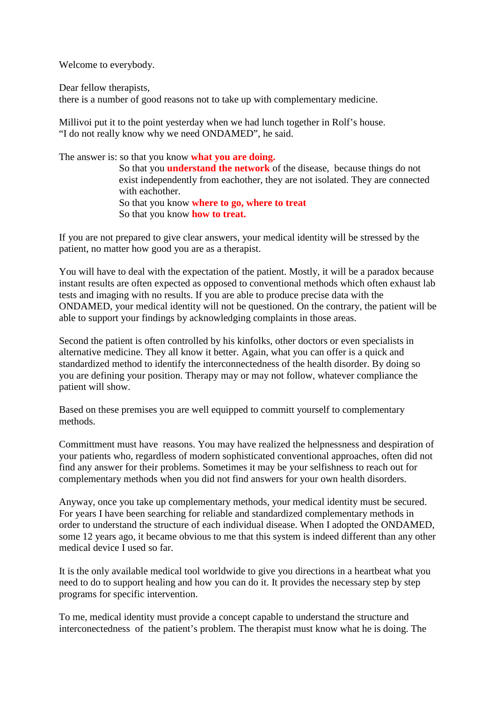Welcome to everybody.

Dear fellow therapists,

there is a number of good reasons not to take up with complementary medicine.

Millivoi put it to the point yesterday when we had lunch together in Rolf's house. "I do not really know why we need ONDAMED", he said.

The answer is: so that you know **what you are doing.**

 So that you **understand the network** of the disease, because things do not exist independently from eachother, they are not isolated. They are connected with eachother. So that you know **where to go, where to treat**

So that you know **how to treat.**

If you are not prepared to give clear answers, your medical identity will be stressed by the patient, no matter how good you are as a therapist.

You will have to deal with the expectation of the patient. Mostly, it will be a paradox because instant results are often expected as opposed to conventional methods which often exhaust lab tests and imaging with no results. If you are able to produce precise data with the ONDAMED, your medical identity will not be questioned. On the contrary, the patient will be able to support your findings by acknowledging complaints in those areas.

Second the patient is often controlled by his kinfolks, other doctors or even specialists in alternative medicine. They all know it better. Again, what you can offer is a quick and standardized method to identify the interconnectedness of the health disorder. By doing so you are defining your position. Therapy may or may not follow, whatever compliance the patient will show.

Based on these premises you are well equipped to committ yourself to complementary methods.

Committment must have reasons. You may have realized the helpnessness and despiration of your patients who, regardless of modern sophisticated conventional approaches, often did not find any answer for their problems. Sometimes it may be your selfishness to reach out for complementary methods when you did not find answers for your own health disorders.

Anyway, once you take up complementary methods, your medical identity must be secured. For years I have been searching for reliable and standardized complementary methods in order to understand the structure of each individual disease. When I adopted the ONDAMED, some 12 years ago, it became obvious to me that this system is indeed different than any other medical device I used so far.

It is the only available medical tool worldwide to give you directions in a heartbeat what you need to do to support healing and how you can do it. It provides the necessary step by step programs for specific intervention.

To me, medical identity must provide a concept capable to understand the structure and interconectedness of the patient's problem. The therapist must know what he is doing. The